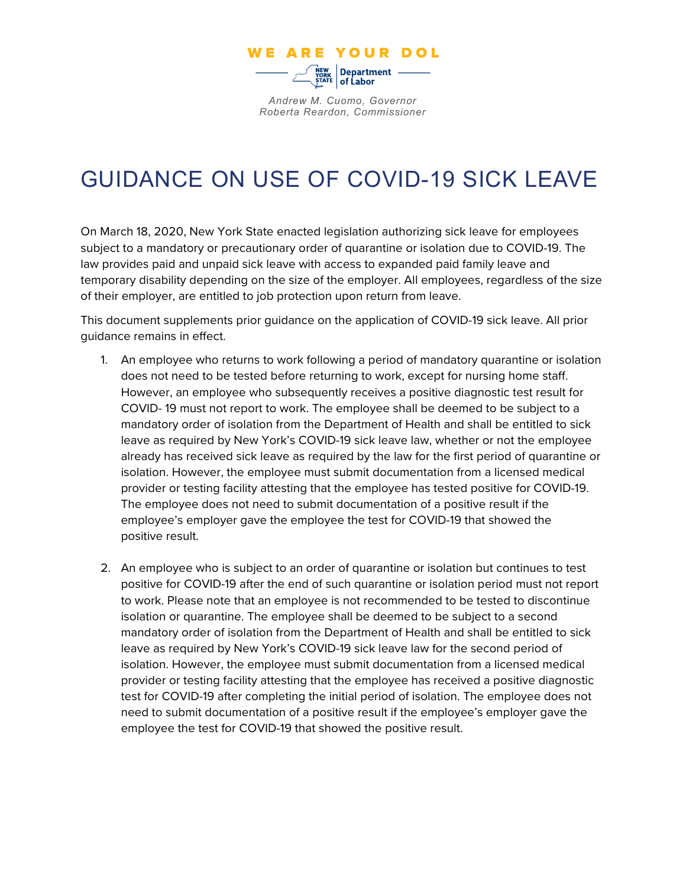

*Andrew M. Cuomo, Governor Roberta Reardon, Commissioner*

## GUIDANCE ON USE OF COVID-19 SICK LEAVE

On March 18, 2020, New York State enacted legislation authorizing sick leave for employees subject to a mandatory or precautionary order of quarantine or isolation due to COVID-19. The law provides paid and unpaid sick leave with access to expanded paid family leave and temporary disability depending on the size of the employer. All employees, regardless of the size of their employer, are entitled to job protection upon return from leave.

This document supplements prior guidance on the application of COVID-19 sick leave. All prior guidance remains in effect.

- 1. An employee who returns to work following a period of mandatory quarantine or isolation does not need to be tested before returning to work, except for nursing home staff. However, an employee who subsequently receives a positive diagnostic test result for COVID- 19 must not report to work. The employee shall be deemed to be subject to a mandatory order of isolation from the Department of Health and shall be entitled to sick leave as required by New York's COVID-19 sick leave law, whether or not the employee already has received sick leave as required by the law for the first period of quarantine or isolation. However, the employee must submit documentation from a licensed medical provider or testing facility attesting that the employee has tested positive for COVID-19. The employee does not need to submit documentation of a positive result if the employee's employer gave the employee the test for COVID-19 that showed the positive result.
- 2. An employee who is subject to an order of quarantine or isolation but continues to test positive for COVID-19 after the end of such quarantine or isolation period must not report to work. Please note that an employee is not recommended to be tested to discontinue isolation or quarantine. The employee shall be deemed to be subject to a second mandatory order of isolation from the Department of Health and shall be entitled to sick leave as required by New York's COVID-19 sick leave law for the second period of isolation. However, the employee must submit documentation from a licensed medical provider or testing facility attesting that the employee has received a positive diagnostic test for COVID-19 after completing the initial period of isolation. The employee does not need to submit documentation of a positive result if the employee's employer gave the employee the test for COVID-19 that showed the positive result.